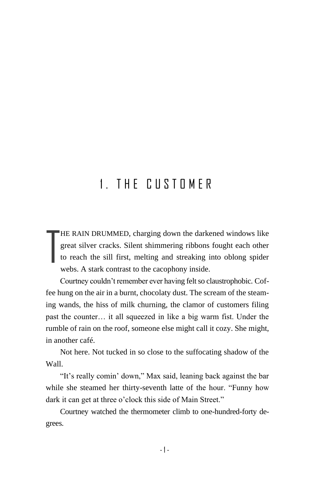## 1 THE CUSTOMER

HE RAIN DRUMMED, charging down the darkened windows like great silver cracks. Silent shimmering ribbons fought each other to reach the sill first, melting and streaking into oblong spider webs. A stark contrast to the cacophony inside. T

Courtney couldn't remember ever having felt so claustrophobic. Coffee hung on the air in a burnt, chocolaty dust. The scream of the steaming wands, the hiss of milk churning, the clamor of customers filing past the counter… it all squeezed in like a big warm fist. Under the rumble of rain on the roof, someone else might call it cozy. She might, in another café.

Not here. Not tucked in so close to the suffocating shadow of the Wall.

"It's really comin' down," Max said, leaning back against the bar while she steamed her thirty-seventh latte of the hour. "Funny how dark it can get at three o'clock this side of Main Street."

Courtney watched the thermometer climb to one-hundred-forty degrees.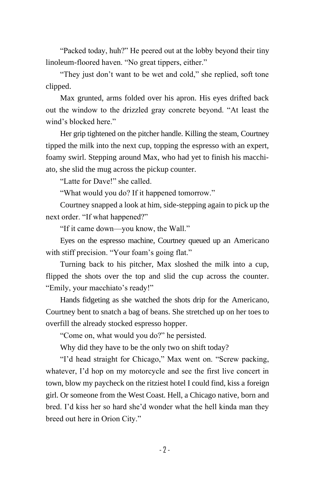"Packed today, huh?" He peered out at the lobby beyond their tiny linoleum-floored haven. "No great tippers, either."

"They just don't want to be wet and cold," she replied, soft tone clipped.

Max grunted, arms folded over his apron. His eyes drifted back out the window to the drizzled gray concrete beyond. "At least the wind's blocked here."

Her grip tightened on the pitcher handle. Killing the steam, Courtney tipped the milk into the next cup, topping the espresso with an expert, foamy swirl. Stepping around Max, who had yet to finish his macchiato, she slid the mug across the pickup counter.

"Latte for Dave!" she called.

"What would you do? If it happened tomorrow."

Courtney snapped a look at him, side-stepping again to pick up the next order. "If what happened?"

"If it came down—you know, the Wall."

Eyes on the espresso machine, Courtney queued up an Americano with stiff precision. "Your foam's going flat."

Turning back to his pitcher, Max sloshed the milk into a cup, flipped the shots over the top and slid the cup across the counter. "Emily, your macchiato's ready!"

Hands fidgeting as she watched the shots drip for the Americano, Courtney bent to snatch a bag of beans. She stretched up on her toes to overfill the already stocked espresso hopper.

"Come on, what would you do?" he persisted.

Why did they have to be the only two on shift today?

"I'd head straight for Chicago," Max went on. "Screw packing, whatever, I'd hop on my motorcycle and see the first live concert in town, blow my paycheck on the ritziest hotel I could find, kiss a foreign girl. Or someone from the West Coast. Hell, a Chicago native, born and bred. I'd kiss her so hard she'd wonder what the hell kinda man they breed out here in Orion City."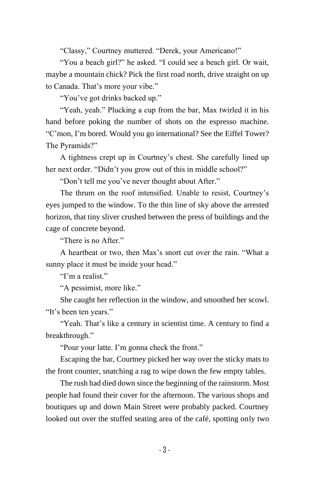"Classy," Courtney muttered. "Derek, your Americano!"

"You a beach girl?" he asked. "I could see a beach girl. Or wait, maybe a mountain chick? Pick the first road north, drive straight on up to Canada. That's more your vibe."

"You've got drinks backed up."

"Yeah, yeah." Plucking a cup from the bar, Max twirled it in his hand before poking the number of shots on the espresso machine. "C'mon, I'm bored. Would you go international? See the Eiffel Tower? The Pyramids?"

A tightness crept up in Courtney's chest. She carefully lined up her next order. "Didn't you grow out of this in middle school?"

"Don't tell me you've never thought about After."

The thrum on the roof intensified. Unable to resist, Courtney's eyes jumped to the window. To the thin line of sky above the arrested horizon, that tiny sliver crushed between the press of buildings and the cage of concrete beyond.

"There is no After."

A heartbeat or two, then Max's snort cut over the rain. "What a sunny place it must be inside your head."

"I'm a realist."

"A pessimist, more like."

She caught her reflection in the window, and smoothed her scowl. "It's been ten years."

"Yeah. That's like a century in scientist time. A century to find a breakthrough."

"Pour your latte. I'm gonna check the front."

Escaping the bar, Courtney picked her way over the sticky mats to the front counter, snatching a rag to wipe down the few empty tables.

The rush had died down since the beginning of the rainstorm. Most people had found their cover for the afternoon. The various shops and boutiques up and down Main Street were probably packed. Courtney looked out over the stuffed seating area of the café, spotting only two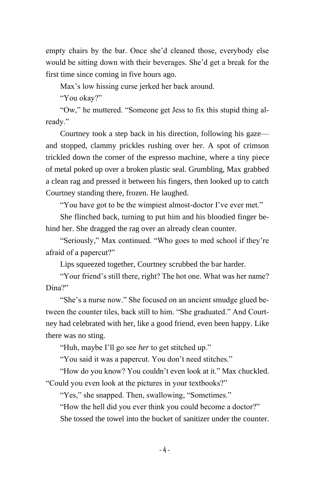empty chairs by the bar. Once she'd cleaned those, everybody else would be sitting down with their beverages. She'd get a break for the first time since coming in five hours ago.

Max's low hissing curse jerked her back around.

"You okay?"

"Ow," he muttered. "Someone get Jess to fix this stupid thing already."

Courtney took a step back in his direction, following his gaze and stopped, clammy prickles rushing over her. A spot of crimson trickled down the corner of the espresso machine, where a tiny piece of metal poked up over a broken plastic seal. Grumbling, Max grabbed a clean rag and pressed it between his fingers, then looked up to catch Courtney standing there, frozen. He laughed.

"You have got to be the wimpiest almost-doctor I've ever met."

She flinched back, turning to put him and his bloodied finger behind her. She dragged the rag over an already clean counter.

"Seriously," Max continued. "Who goes to med school if they're afraid of a papercut?"

Lips squeezed together, Courtney scrubbed the bar harder.

"Your friend's still there, right? The hot one. What was her name? Dina?"

"She's a nurse now." She focused on an ancient smudge glued between the counter tiles, back still to him. "She graduated." And Courtney had celebrated with her, like a good friend, even been happy. Like there was no sting.

"Huh, maybe I'll go see *her* to get stitched up."

"You said it was a papercut. You don't need stitches."

"How do you know? You couldn't even look at it." Max chuckled. "Could you even look at the pictures in your textbooks?"

"Yes," she snapped. Then, swallowing, "Sometimes."

"How the hell did you ever think you could become a doctor?"

She tossed the towel into the bucket of sanitizer under the counter.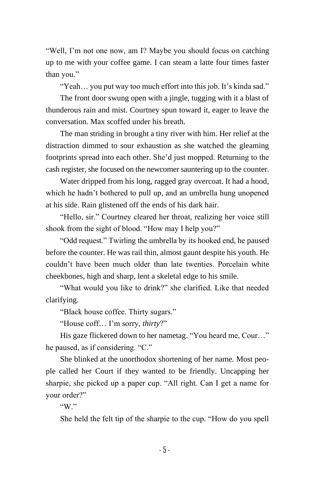"Well, I'm not one now, am I? Maybe you should focus on catching up to me with your coffee game. I can steam a latte four times faster than you."

"Yeah… you put way too much effort into this job. It's kinda sad."

The front door swung open with a jingle, tugging with it a blast of thunderous rain and mist. Courtney spun toward it, eager to leave the conversation. Max scoffed under his breath.

The man striding in brought a tiny river with him. Her relief at the distraction dimmed to sour exhaustion as she watched the gleaming footprints spread into each other. She'd just mopped. Returning to the cash register, she focused on the newcomer sauntering up to the counter.

Water dripped from his long, ragged gray overcoat. It had a hood, which he hadn't bothered to pull up, and an umbrella hung unopened at his side. Rain glistened off the ends of his dark hair.

"Hello, sir." Courtney cleared her throat, realizing her voice still shook from the sight of blood. "How may I help you?"

"Odd request." Twirling the umbrella by its hooked end, he paused before the counter. He was rail thin, almost gaunt despite his youth. He couldn't have been much older than late twenties. Porcelain white cheekbones, high and sharp, lent a skeletal edge to his smile.

"What would you like to drink?" she clarified. Like that needed clarifying.

"Black house coffee. Thirty sugars."

"House coff… I'm sorry, *thirty*?"

His gaze flickered down to her nametag. "You heard me, Cour…" he paused, as if considering. "C."

She blinked at the unorthodox shortening of her name. Most people called her Court if they wanted to be friendly. Uncapping her sharpie, she picked up a paper cup. "All right. Can I get a name for your order?"

"W"

She held the felt tip of the sharpie to the cup. "How do you spell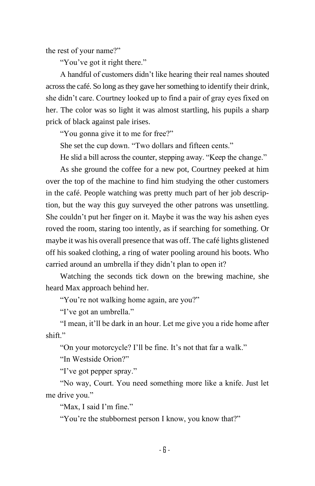the rest of your name?"

"You've got it right there."

A handful of customers didn't like hearing their real names shouted across the café. So long as they gave her something to identify their drink, she didn't care. Courtney looked up to find a pair of gray eyes fixed on her. The color was so light it was almost startling, his pupils a sharp prick of black against pale irises.

"You gonna give it to me for free?"

She set the cup down. "Two dollars and fifteen cents."

He slid a bill across the counter, stepping away. "Keep the change."

As she ground the coffee for a new pot, Courtney peeked at him over the top of the machine to find him studying the other customers in the café. People watching was pretty much part of her job description, but the way this guy surveyed the other patrons was unsettling. She couldn't put her finger on it. Maybe it was the way his ashen eyes roved the room, staring too intently, as if searching for something. Or maybe it was his overall presence that was off. The café lights glistened off his soaked clothing, a ring of water pooling around his boots. Who carried around an umbrella if they didn't plan to open it?

Watching the seconds tick down on the brewing machine, she heard Max approach behind her.

"You're not walking home again, are you?"

"I've got an umbrella."

"I mean, it'll be dark in an hour. Let me give you a ride home after shift."

"On your motorcycle? I'll be fine. It's not that far a walk."

"In Westside Orion?"

"I've got pepper spray."

"No way, Court. You need something more like a knife. Just let me drive you."

"Max, I said I'm fine."

"You're the stubbornest person I know, you know that?"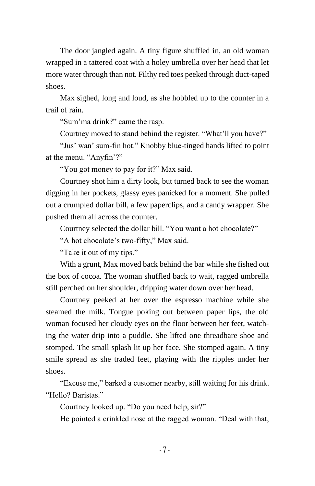The door jangled again. A tiny figure shuffled in, an old woman wrapped in a tattered coat with a holey umbrella over her head that let more water through than not. Filthy red toes peeked through duct-taped shoes.

Max sighed, long and loud, as she hobbled up to the counter in a trail of rain.

"Sum'ma drink?" came the rasp.

Courtney moved to stand behind the register. "What'll you have?"

"Jus' wan' sum-fin hot." Knobby blue-tinged hands lifted to point at the menu. "Anyfin'?"

"You got money to pay for it?" Max said.

Courtney shot him a dirty look, but turned back to see the woman digging in her pockets, glassy eyes panicked for a moment. She pulled out a crumpled dollar bill, a few paperclips, and a candy wrapper. She pushed them all across the counter.

Courtney selected the dollar bill. "You want a hot chocolate?"

"A hot chocolate's two-fifty," Max said.

"Take it out of my tips."

With a grunt, Max moved back behind the bar while she fished out the box of cocoa. The woman shuffled back to wait, ragged umbrella still perched on her shoulder, dripping water down over her head.

Courtney peeked at her over the espresso machine while she steamed the milk. Tongue poking out between paper lips, the old woman focused her cloudy eyes on the floor between her feet, watching the water drip into a puddle. She lifted one threadbare shoe and stomped. The small splash lit up her face. She stomped again. A tiny smile spread as she traded feet, playing with the ripples under her shoes.

"Excuse me," barked a customer nearby, still waiting for his drink. "Hello? Baristas."

Courtney looked up. "Do you need help, sir?"

He pointed a crinkled nose at the ragged woman. "Deal with that,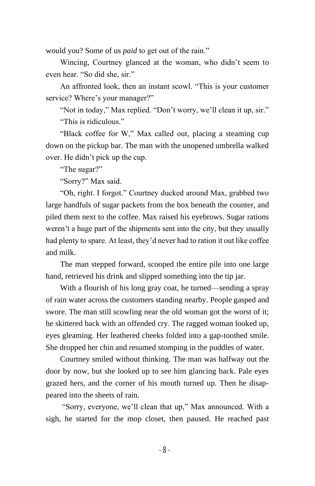would you? Some of us *paid* to get out of the rain."

Wincing, Courtney glanced at the woman, who didn't seem to even hear. "So did she, sir."

An affronted look, then an instant scowl. "This is your customer service? Where's your manager?"

"Not in today," Max replied. "Don't worry, we'll clean it up, sir." "This is ridiculous"

"Black coffee for W," Max called out, placing a steaming cup down on the pickup bar. The man with the unopened umbrella walked over. He didn't pick up the cup.

"The sugar?"

"Sorry?" Max said.

"Oh, right. I forgot." Courtney ducked around Max, grabbed two large handfuls of sugar packets from the box beneath the counter, and piled them next to the coffee. Max raised his eyebrows. Sugar rations weren't a huge part of the shipments sent into the city, but they usually had plenty to spare. At least, they'd never had to ration it out like coffee and milk.

The man stepped forward, scooped the entire pile into one large hand, retrieved his drink and slipped something into the tip jar.

With a flourish of his long gray coat, he turned—sending a spray of rain water across the customers standing nearby. People gasped and swore. The man still scowling near the old woman got the worst of it; he skittered back with an offended cry. The ragged woman looked up, eyes gleaming. Her leathered cheeks folded into a gap-toothed smile. She dropped her chin and resumed stomping in the puddles of water.

Courtney smiled without thinking. The man was halfway out the door by now, but she looked up to see him glancing back. Pale eyes grazed hers, and the corner of his mouth turned up. Then he disappeared into the sheets of rain.

"Sorry, everyone, we'll clean that up," Max announced. With a sigh, he started for the mop closet, then paused. He reached past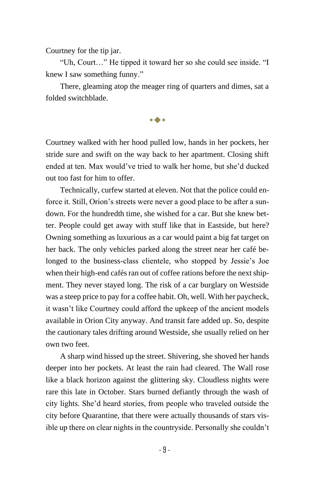Courtney for the tip jar.

"Uh, Court…" He tipped it toward her so she could see inside. "I knew I saw something funny."

There, gleaming atop the meager ring of quarters and dimes, sat a folded switchblade.

◆

Courtney walked with her hood pulled low, hands in her pockets, her stride sure and swift on the way back to her apartment. Closing shift ended at ten. Max would've tried to walk her home, but she'd ducked out too fast for him to offer.

Technically, curfew started at eleven. Not that the police could enforce it. Still, Orion's streets were never a good place to be after a sundown. For the hundredth time, she wished for a car. But she knew better. People could get away with stuff like that in Eastside, but here? Owning something as luxurious as a car would paint a big fat target on her back. The only vehicles parked along the street near her café belonged to the business-class clientele, who stopped by Jessie's Joe when their high-end cafés ran out of coffee rations before the next shipment. They never stayed long. The risk of a car burglary on Westside was a steep price to pay for a coffee habit. Oh, well. With her paycheck, it wasn't like Courtney could afford the upkeep of the ancient models available in Orion City anyway. And transit fare added up. So, despite the cautionary tales drifting around Westside, she usually relied on her own two feet.

A sharp wind hissed up the street. Shivering, she shoved her hands deeper into her pockets. At least the rain had cleared. The Wall rose like a black horizon against the glittering sky. Cloudless nights were rare this late in October. Stars burned defiantly through the wash of city lights. She'd heard stories, from people who traveled outside the city before Quarantine, that there were actually thousands of stars visible up there on clear nights in the countryside. Personally she couldn't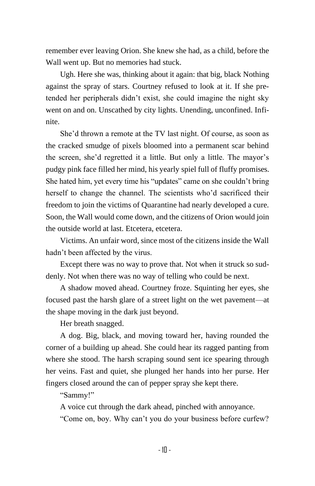remember ever leaving Orion. She knew she had, as a child, before the Wall went up. But no memories had stuck.

Ugh. Here she was, thinking about it again: that big, black Nothing against the spray of stars. Courtney refused to look at it. If she pretended her peripherals didn't exist, she could imagine the night sky went on and on. Unscathed by city lights. Unending, unconfined. Infinite.

She'd thrown a remote at the TV last night. Of course, as soon as the cracked smudge of pixels bloomed into a permanent scar behind the screen, she'd regretted it a little. But only a little. The mayor's pudgy pink face filled her mind, his yearly spiel full of fluffy promises. She hated him, yet every time his "updates" came on she couldn't bring herself to change the channel. The scientists who'd sacrificed their freedom to join the victims of Quarantine had nearly developed a cure. Soon, the Wall would come down, and the citizens of Orion would join the outside world at last. Etcetera, etcetera.

Victims. An unfair word, since most of the citizens inside the Wall hadn't been affected by the virus.

Except there was no way to prove that. Not when it struck so suddenly. Not when there was no way of telling who could be next.

A shadow moved ahead. Courtney froze. Squinting her eyes, she focused past the harsh glare of a street light on the wet pavement—at the shape moving in the dark just beyond.

Her breath snagged.

A dog. Big, black, and moving toward her, having rounded the corner of a building up ahead. She could hear its ragged panting from where she stood. The harsh scraping sound sent ice spearing through her veins. Fast and quiet, she plunged her hands into her purse. Her fingers closed around the can of pepper spray she kept there.

"Sammy!"

A voice cut through the dark ahead, pinched with annoyance.

"Come on, boy. Why can't you do your business before curfew?